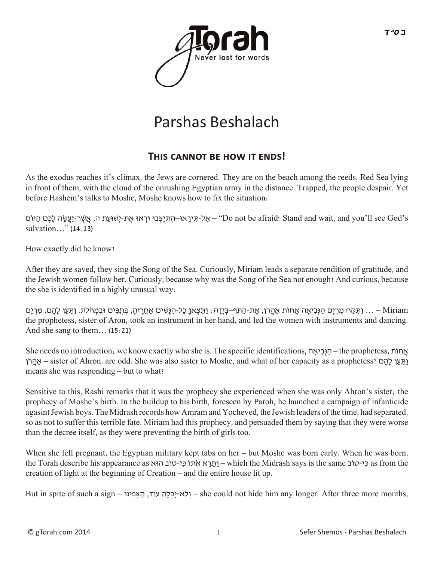

# Parshas Beshalach

### THIS CANNOT BE HOW IT ENDS!

As the exodus reaches it's climax, the Jews are cornered. They are on the beach among the reeds, Red Sea lying in front of them, with the cloud of the onrushing Egyptian army in the distance. Trapped, the people despair. Yet before Hashem's talks to Moshe, Moshe knows how to fix the situation:

 s'God see ll'you and ,wait and Stand! afraid be not Do – "ַאלּ-תִ ירָ אּו–הִ תְ יַּצְ בּו ּורְ אּו אֶ ת-יְשּׁועַ ת ה, אֲ שֶׁ ר-יַעֲׂשֶ ה לָכֶם הַ ּיוֹם salvation…" (14:13)

How exactly did he know?

After they are saved, they sing the Song of the Sea. Curiously, Miriam leads a separate rendition of gratitude, and the Jewish women follow her. Curiously, because why was the Song of the Sea not enough? And curious, because the she is identified in a highly unusual way:

Miriam — … וַתִּקַח מִרְיָם הַנִּבְיָאָה אֲחוֹת אֲהֵרֹן, אֶת-הַתֹּף–בְּיַדָהּ, וַתֵּצֶאן כָּל-הַנַּשִׁים אֲחֲרֶיהָ, בְּתִפִּים וּבִמְחֹלֹת. וַתַּעַן לַהֶם, מִרְיַם the prophetess, sister of Aron, took an instrument in her hand, and led the women with instruments and dancing. And she sang to them… (15:21)

She needs no introduction; we know exactly who she is. The specific identifications, אהָי ִבְנּ ַה – the prophetess, תֹחו ֲא ןֹר ֲאהַ – sister of Ahron, are odd. She was also sister to Moshe, and what of her capacity as a prophetess? ם ֶהָל ן ַע ַתַּו means she was responding – but to what?

Sensitive to this, Rashi remarks that it was the prophecy she experienced when she was only Ahron's sister; the prophecy of Moshe's birth. In the buildup to his birth, foreseen by Paroh, he launched a campaign of infanticide agasint Jewish boys. The Midrash records how Amram and Yocheved, the Jewish leaders of the time, had separated, so as not to suffer this terrible fate. Miriam had this prophecy, and persuaded them by saying that they were worse than the decree itself, as they were preventing the birth of girls too.

When she fell pregnant, the Egyptian military kept tabs on her – but Moshe was born early. When he was born, the Torah describe his appearance as הוא כִּי-טוֹב הוּא which the Midrash says is the same כִּי-טוֹב as from the creation of light at the beginning of Creation – and the entire house lit up.

But in spite of such a sign – ילא-יַכְלָה עוֹד, הַצְּפִינוֹ $-$ she could not hide him any longer. After three more months,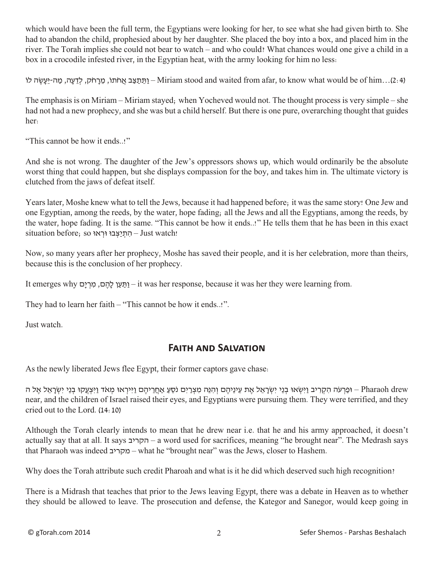which would have been the full term, the Egyptians were looking for her, to see what she had given birth to. She had to abandon the child, prophesied about by her daughter. She placed the boy into a box, and placed him in the river. The Torah implies she could not bear to watch – and who could? What chances would one give a child in a box in a crocodile infested river, in the Egyptian heat, with the army looking for him no less:

(2:4)...Airiam stood and waited from afar, to know what would be of him) - וַתֵּתַצַּב אֲחֹתוֹ, מֵרָחֹק, לְדֵעָה, מַה-יֵּעָשֶׂה לוֹ

The emphasis is on Miriam – Miriam stayed; when Yocheved would not. The thought process is very simple – she had not had a new prophecy, and she was but a child herself. But there is one pure, overarching thought that guides her:

"This cannot be how it ends..!"

And she is not wrong. The daughter of the Jew's oppressors shows up, which would ordinarily be the absolute worst thing that could happen, but she displays compassion for the boy, and takes him in. The ultimate victory is clutched from the jaws of defeat itself.

Years later, Moshe knew what to tell the Jews, because it had happened before; it was the same story! One Jew and one Egyptian, among the reeds, by the water, hope fading; all the Jews and all the Egyptians, among the reeds, by the water, hope fading. It is the same. "This cannot be how it ends..!" He tells them that he has been in this exact  $situation$  before; so $\gamma$ הְתַיַצְבּוּ וּרְאוּ Just watch!

Now, so many years after her prophecy, Moshe has saved their people, and it is her celebration, more than theirs, because this is the conclusion of her prophecy.

It emerges why וַתֵּעַן לַהֵם, מִרְיַם – it was her response, because it was her they were learning from.

They had to learn her faith – "This cannot be how it ends..!".

Just watch.

## **Faith and Salvation**

As the newly liberated Jews flee Egypt, their former captors gave chase:

ּוּפַרְעֹה הִקְרִיב וַיִּשְׂאוּ בְנֵי יִשְׂרָאֵל אֶת עֵינֵיהֶם וְהִנֶּה מִצְרַיִם נֹסֵעַ אַחֲרֵיהֶם וַיִּירְאוּ מְאֹד וַיִּצְעֲקוּ בְנֵי יִשְׂרָאֱל אֱל ה near, and the children of Israel raised their eyes, and Egyptians were pursuing them. They were terrified, and they cried out to the Lord. (14:10)

Although the Torah clearly intends to mean that he drew near i.e. that he and his army approached, it doesn't actually say that at all. It says הקריב – a word used for sacrifices, meaning "he brought near". The Medrash says that Pharaoh was indeed מקריב – what he "brought near" was the Jews, closer to Hashem.

Why does the Torah attribute such credit Pharoah and what is it he did which deserved such high recognition?

There is a Midrash that teaches that prior to the Jews leaving Egypt, there was a debate in Heaven as to whether they should be allowed to leave. The prosecution and defense, the Kategor and Sanegor, would keep going in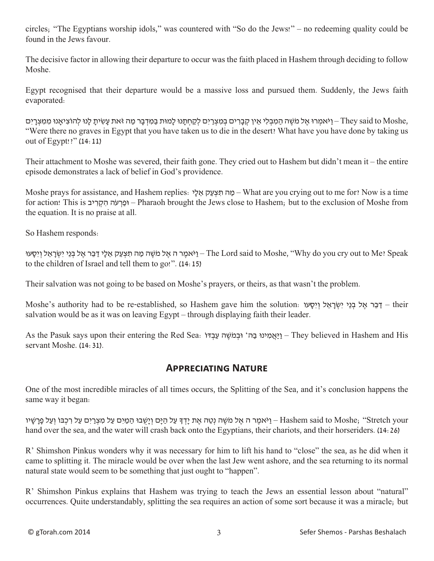circles; "The Egyptians worship idols," was countered with "So do the Jews!" – no redeeming quality could be found in the Jews favour.

The decisive factor in allowing their departure to occur was the faith placed in Hashem through deciding to follow Moshe.

Egypt recognised that their departure would be a massive loss and pursued them. Suddenly, the Jews faith evaporated:

ן-Mey said to Moshe, הַאֲבְרִי אֵל מֹשֶׁה הַמִבְּלִי אֶין קְבָרִים בְּמִצְרִים לְקַחְתָּנוּ לָמוּת בַּמִדְבַּר מַה זֹּאת עַשִׂיתַ לַּנוּ לְהוֹצִיאָנוּ מִמִצְרָיִם "Were there no graves in Egypt that you have taken us to die in the desert? What have you have done by taking us out of Egypt!?" (14:11)

Their attachment to Moshe was severed, their faith gone. They cried out to Hashem but didn't mean it – the entire episode demonstrates a lack of belief in God's providence.

Moshe prays for assistance, and Hashem replies: יָל ֵא ק ַע ְצּ ִת ה ַמ – What are you crying out to me for? Now is a time for action! This is יב ִר ְק ִה הֹע ְר ַופּ – Pharaoh brought the Jews close to Hashem; but to the exclusion of Moshe from the equation. It is no praise at all.

So Hashem responds:

יאמֶר ה אֱל מֹשֶׁה מַה תִּצְעַק אֱלֵי דַבֵּר אֱל בְּנֵי יִשְׂרָאֱל וְיִסָעוּ The Lord said to Moshe, "Why do you cry out to Me? Speak to the children of Israel and tell them to go!". (14:15)

Their salvation was not going to be based on Moshe's prayers, or theirs, as that wasn't the problem.

 their – דַ ּבֵ ּר אֶ ל בְ ּנֵי יִשְ ׂרָ אֵ ל וְ יִסָ ּעו :solution the him gave Hashem so ,established-re be to had authority s'Moshe salvation would be as it was on leaving Egypt – through displaying faith their leader.

As the Pasuk says upon their entering the Red Sea: יַאֲמִינוּ בַה וּבְמֹשֶׁה עַבְדּוֹ – They believed in Hashem and His servant Moshe. (14:31).

#### **Appreciating Nature**

One of the most incredible miracles of all times occurs, the Splitting of the Sea, and it's conclusion happens the same way it began:

יאמֶר ה אֱל מֹשֶׁה נְטֶה אֶת יַדְדְּ עַל הַיָּם וְיַשְׁבוּ הַמַּיִּם עַל מִצְרַיִם עַל רִכְבּוֹ וְעַל פָּרָשָׁיו – Hashem said to Moshe; "Stretch your hand over the sea, and the water will crash back onto the Egyptians, their chariots, and their horseriders. (14:26)

R' Shimshon Pinkus wonders why it was necessary for him to lift his hand to "close" the sea, as he did when it came to splitting it. The miracle would be over when the last Jew went ashore, and the sea returning to its normal natural state would seem to be something that just ought to "happen".

R' Shimshon Pinkus explains that Hashem was trying to teach the Jews an essential lesson about "natural" occurrences. Quite understandably, splitting the sea requires an action of some sort because it was a miracle; but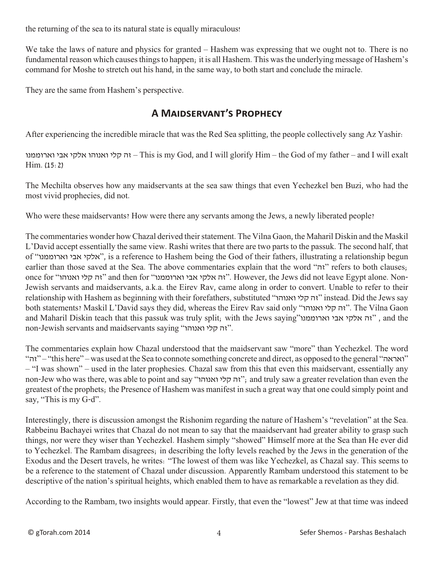the returning of the sea to its natural state is equally miraculous!

We take the laws of nature and physics for granted – Hashem was expressing that we ought not to. There is no fundamental reason which causes things to happen; it is all Hashem. This was the underlying message of Hashem's command for Moshe to stretch out his hand, in the same way, to both start and conclude the miracle.

They are the same from Hashem's perspective.

# **A Maidservant's Prophecy**

After experiencing the incredible miracle that was the Red Sea splitting, the people collectively sang Az Yashir:

וארוממנו אבי אלקי ואנוהו קלי זה – This is my God, and I will glorify Him – the God of my father – and I will exalt Him. (15:2)

The Mechilta observes how any maidservants at the sea saw things that even Yechezkel ben Buzi, who had the most vivid prophecies, did not.

Who were these maidservants? How were there any servants among the Jews, a newly liberated people?

The commentaries wonder how Chazal derived their statement. The Vilna Gaon, the Maharil Diskin and the Maskil L'David accept essentially the same view. Rashi writes that there are two parts to the passuk. The second half, that of "וארוממנו אבי אלקי", is a reference to Hashem being the God of their fathers, illustrating a relationship begun earlier than those saved at the Sea. The above commentaries explain that the word "זה" refers to both clauses; once for "ואנוהו קלי זה "and then for "וארוממנו אבי אלקי זה". However, the Jews did not leave Egypt alone. Non-Jewish servants and maidservants, a.k.a. the Eirev Rav, came along in order to convert. Unable to refer to their relationship with Hashem as beginning with their forefathers, substituted "ואנוהו קלי זה "instead. Did the Jews say both statements? Maskil L'David says they did, whereas the Eirev Rav said only "ואנוהו קלי זה". The Vilna Gaon and Maharil Diskin teach that this passuk was truly split; with the Jews saying"ואה אלקי אבי וארוממנו ", and the non-Jewish servants and maidservants saying "וא קלי ואנוהו".

The commentaries explain how Chazal understood that the maidservant saw "more" than Yechezkel. The word "זה" – "this here" – was used at the Sea to connote something concrete and direct, as opposed to the general "ואראה " – "I was shown" – used in the later prophesies. Chazal saw from this that even this maidservant, essentially any non-Jew who was there, was able to point and say "וה קלי ואנוהו"; and truly saw a greater revelation than even the greatest of the prophets; the Presence of Hashem was manifest in such a great way that one could simply point and say, "This is my G-d".

Interestingly, there is discussion amongst the Rishonim regarding the nature of Hashem's "revelation" at the Sea. Rabbeinu Bachayei writes that Chazal do not mean to say that the maaidservant had greater ability to grasp such things, nor were they wiser than Yechezkel. Hashem simply "showed" Himself more at the Sea than He ever did to Yechezkel. The Rambam disagrees; in describing the lofty levels reached by the Jews in the generation of the Exodus and the Desert travels, he writes: "The lowest of them was like Yechezkel, as Chazal say. This seems to be a reference to the statement of Chazal under discussion. Apparently Rambam understood this statement to be descriptive of the nation's spiritual heights, which enabled them to have as remarkable a revelation as they did.

According to the Rambam, two insights would appear. Firstly, that even the "lowest" Jew at that time was indeed